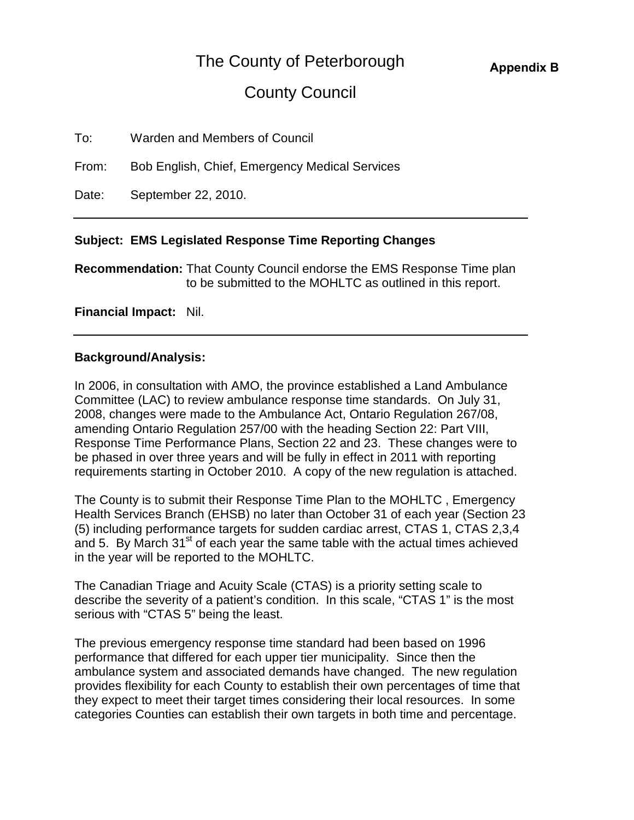# The County of Peterborough

# County Council

| To: | Warden and Members of Council |
|-----|-------------------------------|
|-----|-------------------------------|

From: Bob English, Chief, Emergency Medical Services

Date: September 22, 2010.

## **Subject: EMS Legislated Response Time Reporting Changes**

**Recommendation:** That County Council endorse the EMS Response Time plan to be submitted to the MOHLTC as outlined in this report.

### **Financial Impact:** Nil.

## **Background/Analysis:**

In 2006, in consultation with AMO, the province established a Land Ambulance Committee (LAC) to review ambulance response time standards. On July 31, 2008, changes were made to the Ambulance Act, Ontario Regulation 267/08, amending Ontario Regulation 257/00 with the heading Section 22: Part VIII, Response Time Performance Plans, Section 22 and 23. These changes were to be phased in over three years and will be fully in effect in 2011 with reporting requirements starting in October 2010. A copy of the new regulation is attached.

The County is to submit their Response Time Plan to the MOHLTC , Emergency Health Services Branch (EHSB) no later than October 31 of each year (Section 23 (5) including performance targets for sudden cardiac arrest, CTAS 1, CTAS 2,3,4 and 5. By March  $31<sup>st</sup>$  of each year the same table with the actual times achieved in the year will be reported to the MOHLTC.

The Canadian Triage and Acuity Scale (CTAS) is a priority setting scale to describe the severity of a patient's condition. In this scale, "CTAS 1" is the most serious with "CTAS 5" being the least.

The previous emergency response time standard had been based on 1996 performance that differed for each upper tier municipality. Since then the ambulance system and associated demands have changed. The new regulation provides flexibility for each County to establish their own percentages of time that they expect to meet their target times considering their local resources. In some categories Counties can establish their own targets in both time and percentage.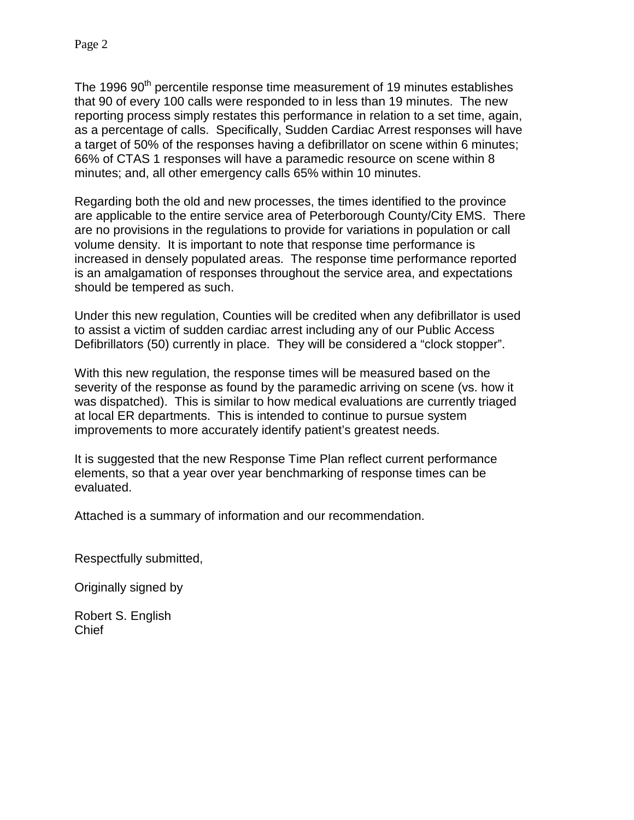The 1996 90<sup>th</sup> percentile response time measurement of 19 minutes establishes that 90 of every 100 calls were responded to in less than 19 minutes. The new reporting process simply restates this performance in relation to a set time, again, as a percentage of calls. Specifically, Sudden Cardiac Arrest responses will have a target of 50% of the responses having a defibrillator on scene within 6 minutes; 66% of CTAS 1 responses will have a paramedic resource on scene within 8 minutes; and, all other emergency calls 65% within 10 minutes.

Regarding both the old and new processes, the times identified to the province are applicable to the entire service area of Peterborough County/City EMS. There are no provisions in the regulations to provide for variations in population or call volume density. It is important to note that response time performance is increased in densely populated areas. The response time performance reported is an amalgamation of responses throughout the service area, and expectations should be tempered as such.

Under this new regulation, Counties will be credited when any defibrillator is used to assist a victim of sudden cardiac arrest including any of our Public Access Defibrillators (50) currently in place. They will be considered a "clock stopper".

With this new regulation, the response times will be measured based on the severity of the response as found by the paramedic arriving on scene (vs. how it was dispatched). This is similar to how medical evaluations are currently triaged at local ER departments. This is intended to continue to pursue system improvements to more accurately identify patient's greatest needs.

It is suggested that the new Response Time Plan reflect current performance elements, so that a year over year benchmarking of response times can be evaluated.

Attached is a summary of information and our recommendation.

Respectfully submitted,

Originally signed by

Robert S. English **Chief**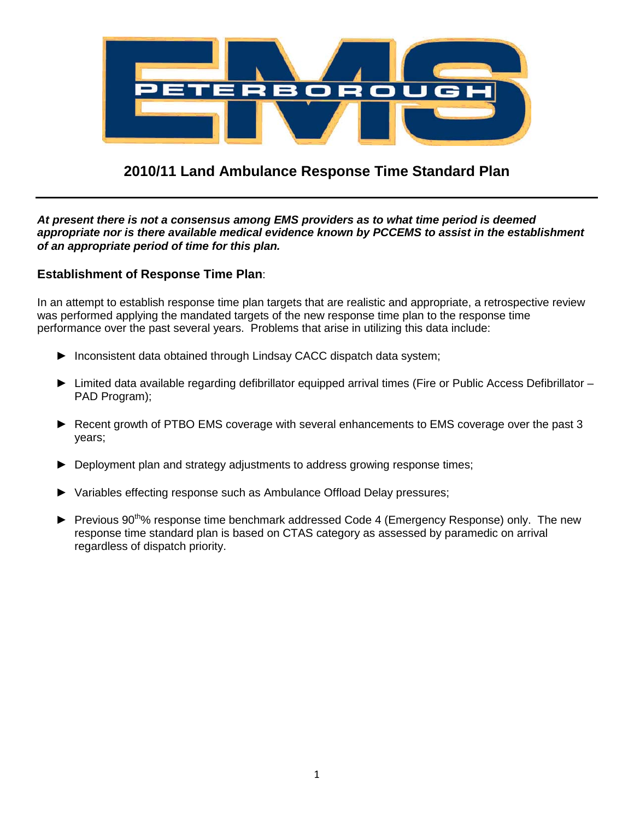

## **2010/11 Land Ambulance Response Time Standard Plan**

*At present there is not a consensus among EMS providers as to what time period is deemed appropriate nor is there available medical evidence known by PCCEMS to assist in the establishment of an appropriate period of time for this plan.*

#### **Establishment of Response Time Plan**:

In an attempt to establish response time plan targets that are realistic and appropriate, a retrospective review was performed applying the mandated targets of the new response time plan to the response time performance over the past several years. Problems that arise in utilizing this data include:

- ► Inconsistent data obtained through Lindsay CACC dispatch data system;
- ► Limited data available regarding defibrillator equipped arrival times (Fire or Public Access Defibrillator PAD Program);
- ► Recent growth of PTBO EMS coverage with several enhancements to EMS coverage over the past 3 years;
- ► Deployment plan and strategy adjustments to address growing response times;
- ► Variables effecting response such as Ambulance Offload Delay pressures;
- ► Previous 90<sup>th</sup>% response time benchmark addressed Code 4 (Emergency Response) only. The new response time standard plan is based on CTAS category as assessed by paramedic on arrival regardless of dispatch priority.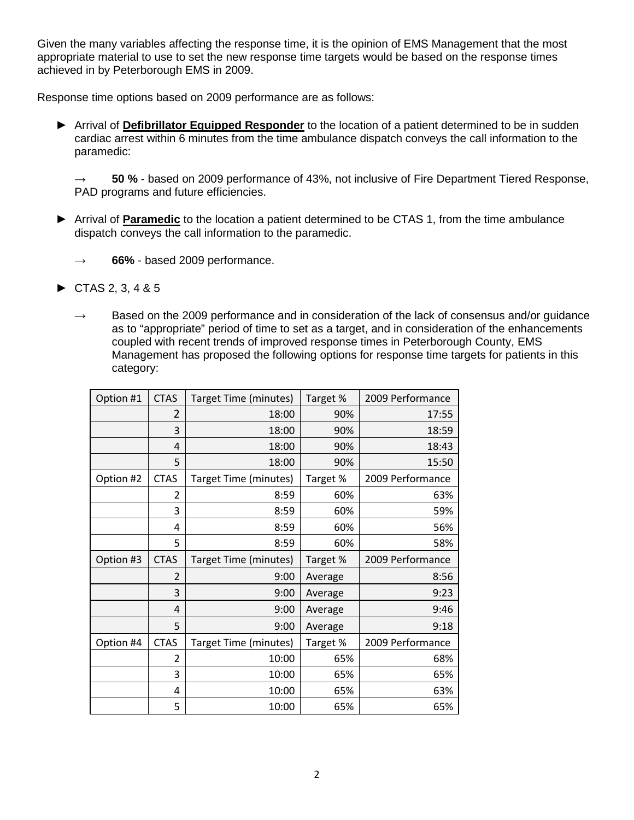Given the many variables affecting the response time, it is the opinion of EMS Management that the most appropriate material to use to set the new response time targets would be based on the response times achieved in by Peterborough EMS in 2009.

Response time options based on 2009 performance are as follows:

► Arrival of **Defibrillator Equipped Responder** to the location of a patient determined to be in sudden cardiac arrest within 6 minutes from the time ambulance dispatch conveys the call information to the paramedic:

**→ 50 %** - based on 2009 performance of 43%, not inclusive of Fire Department Tiered Response, PAD programs and future efficiencies.

- ► Arrival of **Paramedic** to the location a patient determined to be CTAS 1, from the time ambulance dispatch conveys the call information to the paramedic.
	- **→ 66%** based 2009 performance.
- $\triangleright$  CTAS 2, 3, 4 & 5
	- $\rightarrow$  Based on the 2009 performance and in consideration of the lack of consensus and/or guidance as to "appropriate" period of time to set as a target, and in consideration of the enhancements coupled with recent trends of improved response times in Peterborough County, EMS Management has proposed the following options for response time targets for patients in this category:

| Option #1 | <b>CTAS</b>    | Target Time (minutes) | Target % | 2009 Performance |
|-----------|----------------|-----------------------|----------|------------------|
|           | 2              | 18:00                 | 90%      | 17:55            |
|           | 3              | 18:00                 | 90%      | 18:59            |
|           | 4              | 18:00                 | 90%      | 18:43            |
|           | 5              | 18:00                 | 90%      | 15:50            |
| Option #2 | <b>CTAS</b>    | Target Time (minutes) | Target % | 2009 Performance |
|           | 2              | 8:59                  | 60%      | 63%              |
|           | 3              | 8:59                  | 60%      | 59%              |
|           | 4              | 8:59                  | 60%      | 56%              |
|           | 5              | 8:59                  | 60%      | 58%              |
| Option #3 | <b>CTAS</b>    | Target Time (minutes) | Target % | 2009 Performance |
|           | $\overline{2}$ | 9:00                  | Average  | 8:56             |
|           | 3              | 9:00                  | Average  | 9:23             |
|           | 4              | 9:00                  | Average  | 9:46             |
|           | 5              | 9:00                  | Average  | 9:18             |
| Option #4 | <b>CTAS</b>    | Target Time (minutes) | Target % | 2009 Performance |
|           | 2              | 10:00                 | 65%      | 68%              |
|           | 3              | 10:00                 | 65%      | 65%              |
|           | 4              | 10:00                 | 65%      | 63%              |
|           | 5              | 10:00                 | 65%      | 65%              |